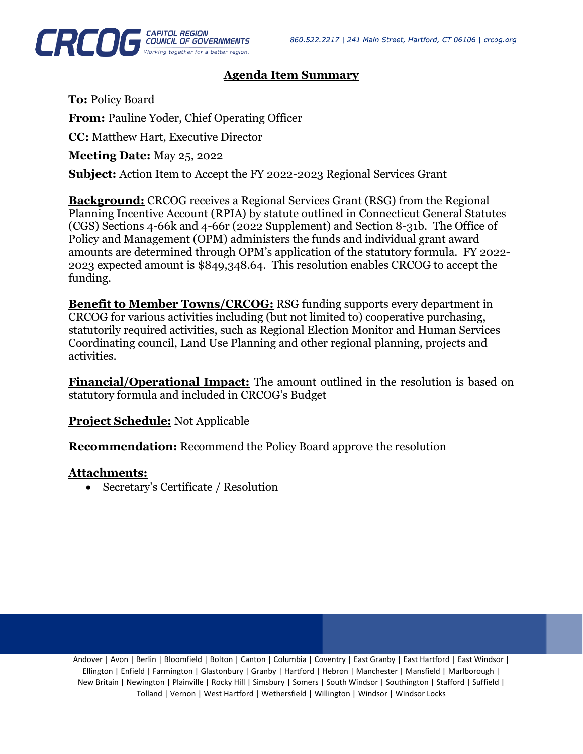

## **Agenda Item Summary**

**To:** Policy Board **From:** Pauline Yoder, Chief Operating Officer **CC:** Matthew Hart, Executive Director **Meeting Date:** May 25, 2022 **Subject:** Action Item to Accept the FY 2022-2023 Regional Services Grant

**Background:** CRCOG receives a Regional Services Grant (RSG) from the Regional Planning Incentive Account (RPIA) by statute outlined in Connecticut General Statutes (CGS) Sections 4-66k and 4-66r (2022 Supplement) and Section 8-31b. The Office of Policy and Management (OPM) administers the funds and individual grant award amounts are determined through OPM's application of the statutory formula. FY 2022- 2023 expected amount is \$849,348.64. This resolution enables CRCOG to accept the funding.

**Benefit to Member Towns/CRCOG:** RSG funding supports every department in CRCOG for various activities including (but not limited to) cooperative purchasing, statutorily required activities, such as Regional Election Monitor and Human Services Coordinating council, Land Use Planning and other regional planning, projects and activities.

**Financial/Operational Impact:** The amount outlined in the resolution is based on statutory formula and included in CRCOG's Budget

**Project Schedule:** Not Applicable

**Recommendation:** Recommend the Policy Board approve the resolution

## **Attachments:**

• Secretary's Certificate / Resolution

Andover | Avon | Berlin | Bloomfield | Bolton | Canton | Columbia | Coventry | East Granby | East Hartford | East Windsor | Ellington | Enfield | Farmington | Glastonbury | Granby | Hartford | Hebron | Manchester | Mansfield | Marlborough | New Britain | Newington | Plainville | Rocky Hill | Simsbury | Somers | South Windsor | Southington | Stafford | Suffield | Tolland | Vernon | West Hartford | Wethersfield | Willington | Windsor | Windsor Locks